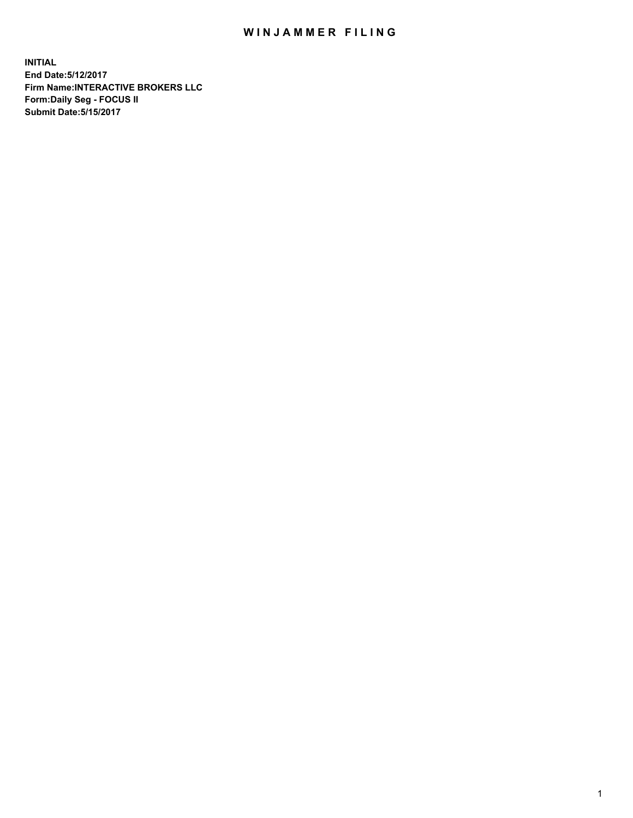## WIN JAMMER FILING

**INITIAL End Date:5/12/2017 Firm Name:INTERACTIVE BROKERS LLC Form:Daily Seg - FOCUS II Submit Date:5/15/2017**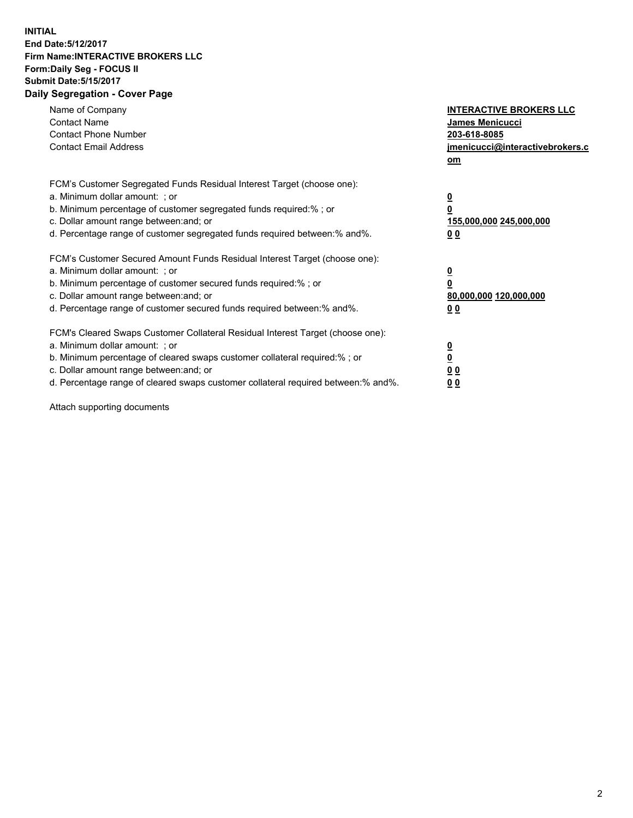## **INITIAL End Date:5/12/2017 Firm Name:INTERACTIVE BROKERS LLC Form:Daily Seg - FOCUS II Submit Date:5/15/2017 Daily Segregation - Cover Page**

| Name of Company<br><b>Contact Name</b><br><b>Contact Phone Number</b><br><b>Contact Email Address</b>                                                                                                                                                                                                                          | <b>INTERACTIVE BROKERS LLC</b><br>James Menicucci<br>203-618-8085<br>jmenicucci@interactivebrokers.c<br>om |
|--------------------------------------------------------------------------------------------------------------------------------------------------------------------------------------------------------------------------------------------------------------------------------------------------------------------------------|------------------------------------------------------------------------------------------------------------|
| FCM's Customer Segregated Funds Residual Interest Target (choose one):<br>a. Minimum dollar amount: ; or<br>b. Minimum percentage of customer segregated funds required:%; or<br>c. Dollar amount range between: and; or<br>d. Percentage range of customer segregated funds required between:% and%.                          | $\overline{\mathbf{0}}$<br>0<br>155,000,000 245,000,000<br>0 <sub>0</sub>                                  |
| FCM's Customer Secured Amount Funds Residual Interest Target (choose one):<br>a. Minimum dollar amount: ; or<br>b. Minimum percentage of customer secured funds required:%; or<br>c. Dollar amount range between: and; or<br>d. Percentage range of customer secured funds required between:% and%.                            | $\overline{\mathbf{0}}$<br>$\overline{\mathbf{0}}$<br>80,000,000 120,000,000<br>00                         |
| FCM's Cleared Swaps Customer Collateral Residual Interest Target (choose one):<br>a. Minimum dollar amount: ; or<br>b. Minimum percentage of cleared swaps customer collateral required:% ; or<br>c. Dollar amount range between: and; or<br>d. Percentage range of cleared swaps customer collateral required between:% and%. | $\overline{\mathbf{0}}$<br>$\overline{\mathbf{0}}$<br>0 <sub>0</sub><br><u>00</u>                          |

Attach supporting documents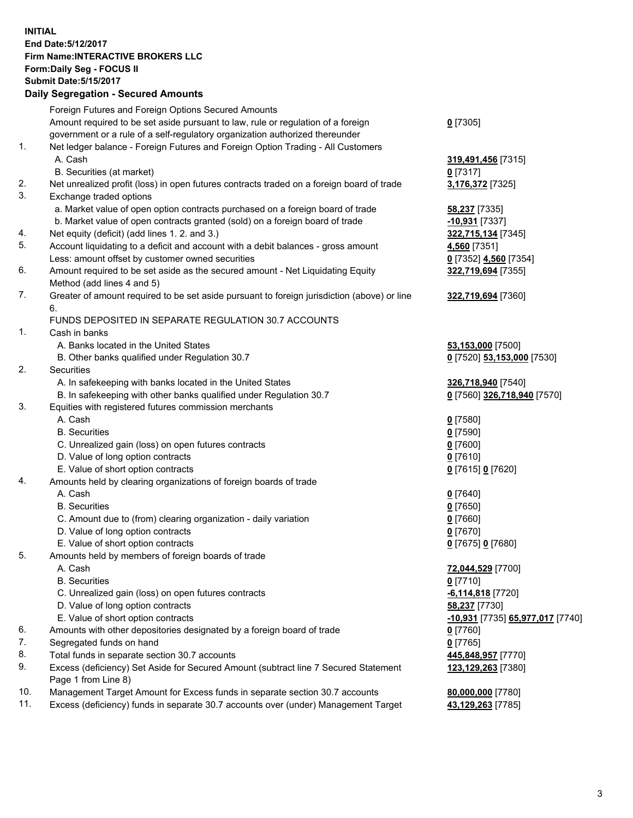## **INITIAL End Date:5/12/2017 Firm Name:INTERACTIVE BROKERS LLC Form:Daily Seg - FOCUS II Submit Date:5/15/2017**

|     | <b>Daily Segregation - Secured Amounts</b>                                                         |                                  |
|-----|----------------------------------------------------------------------------------------------------|----------------------------------|
|     | Foreign Futures and Foreign Options Secured Amounts                                                |                                  |
|     | Amount required to be set aside pursuant to law, rule or regulation of a foreign                   | $0$ [7305]                       |
|     | government or a rule of a self-regulatory organization authorized thereunder                       |                                  |
| 1.  | Net ledger balance - Foreign Futures and Foreign Option Trading - All Customers                    |                                  |
|     | A. Cash                                                                                            | 319,491,456 [7315]               |
|     | B. Securities (at market)                                                                          | 0 [7317]                         |
| 2.  | Net unrealized profit (loss) in open futures contracts traded on a foreign board of trade          | 3,176,372 [7325]                 |
| 3.  | Exchange traded options                                                                            |                                  |
|     | a. Market value of open option contracts purchased on a foreign board of trade                     | 58,237 [7335]                    |
|     | b. Market value of open contracts granted (sold) on a foreign board of trade                       | -10,931 [7337]                   |
| 4.  | Net equity (deficit) (add lines 1.2. and 3.)                                                       | 322,715,134 [7345]               |
| 5.  | Account liquidating to a deficit and account with a debit balances - gross amount                  | 4,560 [7351]                     |
|     | Less: amount offset by customer owned securities                                                   | 0 [7352] 4,560 [7354]            |
| 6.  | Amount required to be set aside as the secured amount - Net Liquidating Equity                     | 322,719,694 [7355]               |
| 7.  | Method (add lines 4 and 5)                                                                         |                                  |
|     | Greater of amount required to be set aside pursuant to foreign jurisdiction (above) or line        | 322,719,694 [7360]               |
|     | 6.<br>FUNDS DEPOSITED IN SEPARATE REGULATION 30.7 ACCOUNTS                                         |                                  |
| 1.  | Cash in banks                                                                                      |                                  |
|     | A. Banks located in the United States                                                              | 53,153,000 [7500]                |
|     | B. Other banks qualified under Regulation 30.7                                                     | 0 [7520] 53,153,000 [7530]       |
| 2.  | Securities                                                                                         |                                  |
|     | A. In safekeeping with banks located in the United States                                          | 326,718,940 [7540]               |
|     | B. In safekeeping with other banks qualified under Regulation 30.7                                 | 0 [7560] 326,718,940 [7570]      |
| 3.  | Equities with registered futures commission merchants                                              |                                  |
|     | A. Cash                                                                                            | $0$ [7580]                       |
|     | <b>B.</b> Securities                                                                               | $0$ [7590]                       |
|     | C. Unrealized gain (loss) on open futures contracts                                                | $0$ [7600]                       |
|     | D. Value of long option contracts                                                                  | $0$ [7610]                       |
|     | E. Value of short option contracts                                                                 | 0 [7615] 0 [7620]                |
| 4.  | Amounts held by clearing organizations of foreign boards of trade                                  |                                  |
|     | A. Cash                                                                                            | $0$ [7640]                       |
|     | <b>B.</b> Securities                                                                               | $0$ [7650]                       |
|     | C. Amount due to (from) clearing organization - daily variation                                    | $0$ [7660]                       |
|     | D. Value of long option contracts                                                                  | $0$ [7670]                       |
|     | E. Value of short option contracts                                                                 | 0 [7675] 0 [7680]                |
| 5.  | Amounts held by members of foreign boards of trade                                                 |                                  |
|     | A. Cash                                                                                            | <b>72,044,529</b> [7700]         |
|     | <b>B.</b> Securities                                                                               | $0$ [7710]                       |
|     | C. Unrealized gain (loss) on open futures contracts                                                | -6,114,818 [7720]                |
|     | D. Value of long option contracts                                                                  | 58,237 [7730]                    |
| 6.  | E. Value of short option contracts                                                                 | -10,931 [7735] 65,977,017 [7740] |
| 7.  | Amounts with other depositories designated by a foreign board of trade<br>Segregated funds on hand | $0$ [7760]<br>$0$ [7765]         |
| 8.  | Total funds in separate section 30.7 accounts                                                      | 445,848,957 [7770]               |
| 9.  | Excess (deficiency) Set Aside for Secured Amount (subtract line 7 Secured Statement                | 123,129,263 [7380]               |
|     | Page 1 from Line 8)                                                                                |                                  |
| 10. | Management Target Amount for Excess funds in separate section 30.7 accounts                        | 80,000,000 [7780]                |
| 11. | Excess (deficiency) funds in separate 30.7 accounts over (under) Management Target                 | 43,129,263 [7785]                |
|     |                                                                                                    |                                  |
|     |                                                                                                    |                                  |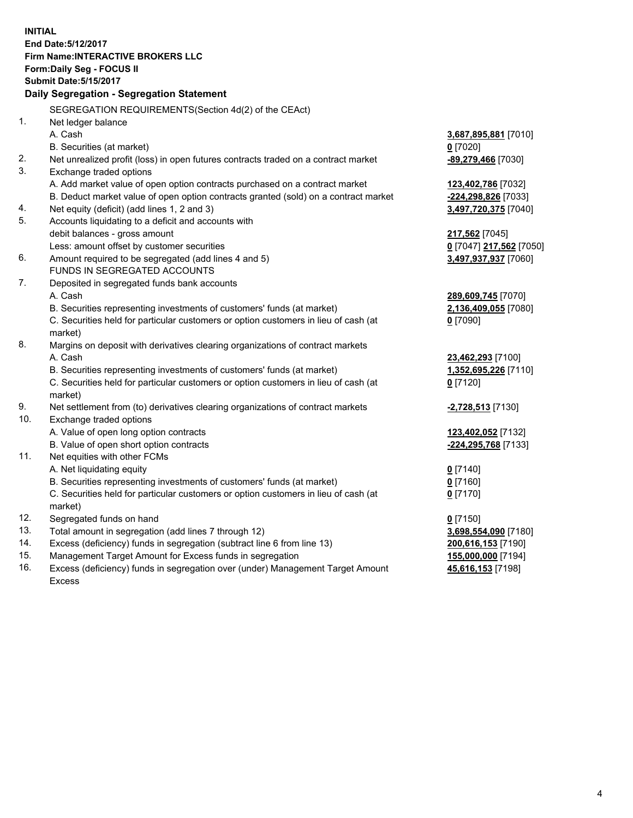**INITIAL End Date:5/12/2017 Firm Name:INTERACTIVE BROKERS LLC Form:Daily Seg - FOCUS II Submit Date:5/15/2017 Daily Segregation - Segregation Statement** SEGREGATION REQUIREMENTS(Section 4d(2) of the CEAct) 1. Net ledger balance A. Cash **3,687,895,881** [7010] B. Securities (at market) **0** [7020] 2. Net unrealized profit (loss) in open futures contracts traded on a contract market **-89,279,466** [7030] 3. Exchange traded options A. Add market value of open option contracts purchased on a contract market **123,402,786** [7032] B. Deduct market value of open option contracts granted (sold) on a contract market **-224,298,826** [7033] 4. Net equity (deficit) (add lines 1, 2 and 3) **3,497,720,375** [7040] 5. Accounts liquidating to a deficit and accounts with debit balances - gross amount **217,562** [7045] Less: amount offset by customer securities **0** [7047] **217,562** [7050] 6. Amount required to be segregated (add lines 4 and 5) **3,497,937,937** [7060] FUNDS IN SEGREGATED ACCOUNTS 7. Deposited in segregated funds bank accounts A. Cash **289,609,745** [7070] B. Securities representing investments of customers' funds (at market) **2,136,409,055** [7080] C. Securities held for particular customers or option customers in lieu of cash (at market) **0** [7090] 8. Margins on deposit with derivatives clearing organizations of contract markets A. Cash **23,462,293** [7100] B. Securities representing investments of customers' funds (at market) **1,352,695,226** [7110] C. Securities held for particular customers or option customers in lieu of cash (at market) **0** [7120] 9. Net settlement from (to) derivatives clearing organizations of contract markets **-2,728,513** [7130] 10. Exchange traded options A. Value of open long option contracts **123,402,052** [7132] B. Value of open short option contracts **-224,295,768** [7133] 11. Net equities with other FCMs A. Net liquidating equity **0** [7140] B. Securities representing investments of customers' funds (at market) **0** [7160] C. Securities held for particular customers or option customers in lieu of cash (at market) **0** [7170] 12. Segregated funds on hand **0** [7150] 13. Total amount in segregation (add lines 7 through 12) **3,698,554,090** [7180] 14. Excess (deficiency) funds in segregation (subtract line 6 from line 13) **200,616,153** [7190] 15. Management Target Amount for Excess funds in segregation **155,000,000** [7194] **45,616,153** [7198]

16. Excess (deficiency) funds in segregation over (under) Management Target Amount Excess